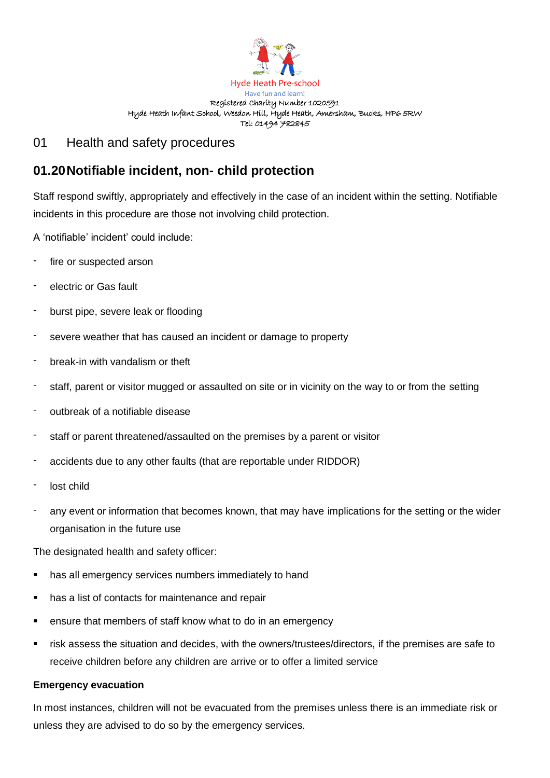

#### Have fun and learn! Registered Charity Number 1020591 Hyde Heath Infant School, Weedon Hill, Hyde Heath, Amersham, Bucks, HP6 5RW Tel: 01494 782845

## 01 Health and safety procedures

# **01.20Notifiable incident, non- child protection**

Staff respond swiftly, appropriately and effectively in the case of an incident within the setting. Notifiable incidents in this procedure are those not involving child protection.

A 'notifiable' incident' could include:

- fire or suspected arson
- electric or Gas fault
- burst pipe, severe leak or flooding
- severe weather that has caused an incident or damage to property
- break-in with vandalism or theft
- staff, parent or visitor mugged or assaulted on site or in vicinity on the way to or from the setting
- outbreak of a notifiable disease
- staff or parent threatened/assaulted on the premises by a parent or visitor
- accidents due to any other faults (that are reportable under RIDDOR)
- lost child
- any event or information that becomes known, that may have implications for the setting or the wider organisation in the future use

The designated health and safety officer:

- has all emergency services numbers immediately to hand
- has a list of contacts for maintenance and repair
- ensure that members of staff know what to do in an emergency
- risk assess the situation and decides, with the owners/trustees/directors, if the premises are safe to receive children before any children are arrive or to offer a limited service

### **Emergency evacuation**

In most instances, children will not be evacuated from the premises unless there is an immediate risk or unless they are advised to do so by the emergency services.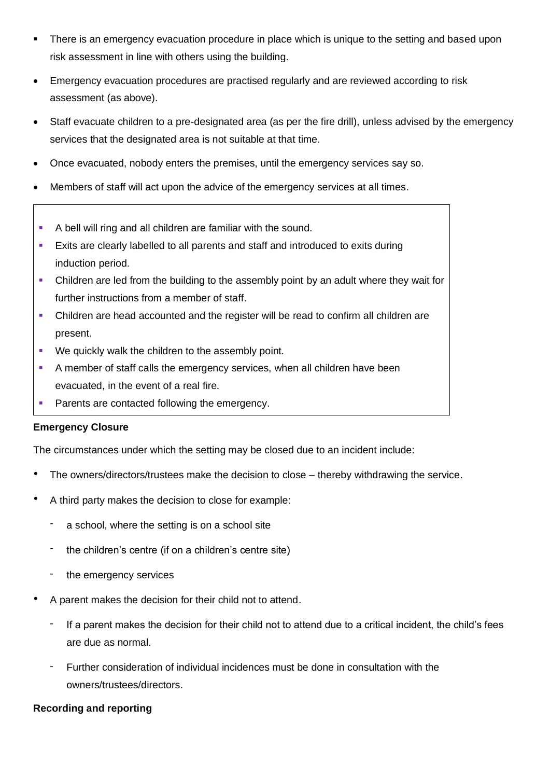- There is an emergency evacuation procedure in place which is unique to the setting and based upon risk assessment in line with others using the building.
- Emergency evacuation procedures are practised regularly and are reviewed according to risk assessment (as above).
- Staff evacuate children to a pre-designated area (as per the fire drill), unless advised by the emergency services that the designated area is not suitable at that time.
- Once evacuated, nobody enters the premises, until the emergency services say so.
- Members of staff will act upon the advice of the emergency services at all times.
- A bell will ring and all children are familiar with the sound.
- **Exits are clearly labelled to all parents and staff and introduced to exits during** induction period.
- Children are led from the building to the assembly point by an adult where they wait for further instructions from a member of staff.
- Children are head accounted and the register will be read to confirm all children are present.
- We quickly walk the children to the assembly point.
- **EXEDENT A member of staff calls the emergency services, when all children have been** evacuated, in the event of a real fire.
- Parents are contacted following the emergency.

### **Emergency Closure**

The circumstances under which the setting may be closed due to an incident include:

- The owners/directors/trustees make the decision to close thereby withdrawing the service.
- A third party makes the decision to close for example:
	- a school, where the setting is on a school site
	- the children's centre (if on a children's centre site)
	- the emergency services
- A parent makes the decision for their child not to attend.
	- If a parent makes the decision for their child not to attend due to a critical incident, the child's fees are due as normal.
	- Further consideration of individual incidences must be done in consultation with the owners/trustees/directors.

### **Recording and reporting**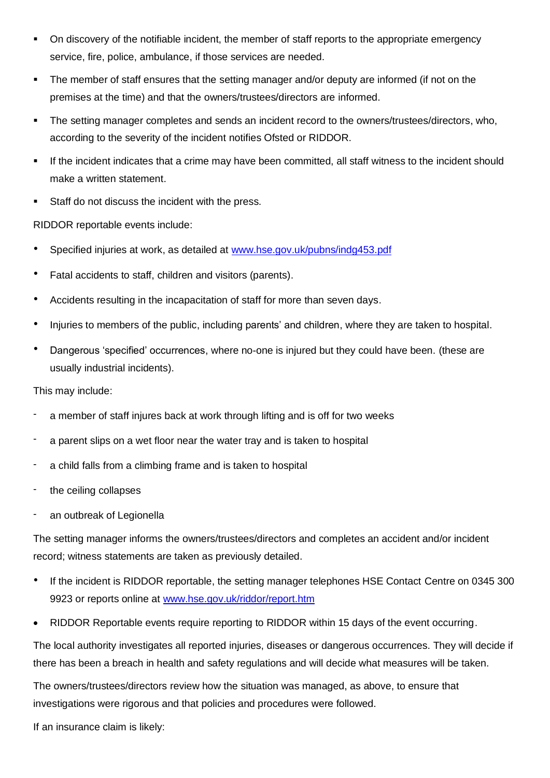- On discovery of the notifiable incident, the member of staff reports to the appropriate emergency service, fire, police, ambulance, if those services are needed.
- The member of staff ensures that the setting manager and/or deputy are informed (if not on the premises at the time) and that the owners/trustees/directors are informed.
- The setting manager completes and sends an incident record to the owners/trustees/directors, who, according to the severity of the incident notifies Ofsted or RIDDOR.
- If the incident indicates that a crime may have been committed, all staff witness to the incident should make a written statement.
- Staff do not discuss the incident with the press.

RIDDOR reportable events include:

- Specified injuries at work, as detailed at [www.hse.gov.uk/pubns/indg453.pdf](http://www.hse.gov.uk/pubns/indg453.pdf)
- Fatal accidents to staff, children and visitors (parents).
- Accidents resulting in the incapacitation of staff for more than seven days.
- Injuries to members of the public, including parents' and children, where they are taken to hospital.
- Dangerous 'specified' occurrences, where no-one is injured but they could have been. (these are usually industrial incidents).

This may include:

- a member of staff injures back at work through lifting and is off for two weeks
- a parent slips on a wet floor near the water tray and is taken to hospital
- a child falls from a climbing frame and is taken to hospital
- the ceiling collapses
- an outbreak of Legionella

The setting manager informs the owners/trustees/directors and completes an accident and/or incident record; witness statements are taken as previously detailed.

- If the incident is RIDDOR reportable, the setting manager telephones HSE Contact Centre on 0345 300 9923 or reports online at [www.hse.gov.uk/riddor/report.htm](http://www.hse.gov.uk/riddor/report.htm)
- RIDDOR Reportable events require reporting to RIDDOR within 15 days of the event occurring.

The local authority investigates all reported injuries, diseases or dangerous occurrences. They will decide if there has been a breach in health and safety regulations and will decide what measures will be taken.

The owners/trustees/directors review how the situation was managed, as above, to ensure that investigations were rigorous and that policies and procedures were followed.

If an insurance claim is likely: